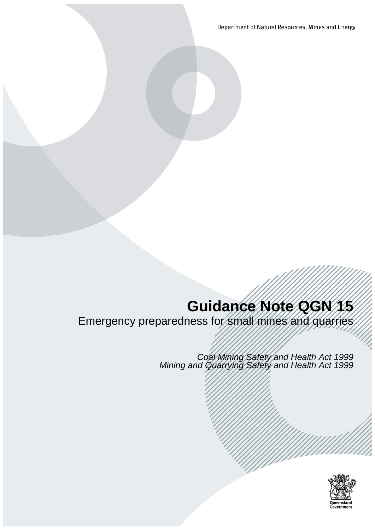Department of Natural Resources, Mines and Energy

# **Guidance Note QGN 15**

Emergency preparedness for small mines and quarries

*Coal Mining Safety and Health Act 1999 Mining and Quarrying Safety and Health Act 1999*

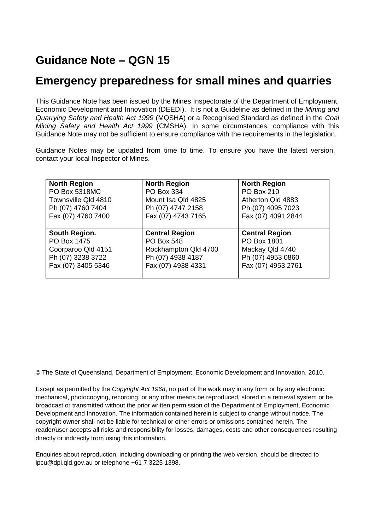# **Guidance Note – QGN 15**

## **Emergency preparedness for small mines and quarries**

This Guidance Note has been issued by the Mines Inspectorate of the Department of Employment, Economic Development and Innovation (DEEDI). It is not a Guideline as defined in the *Mining and Quarrying Safety and Health Act 1999* (MQSHA) or a Recognised Standard as defined in the *Coal Mining Safety and Health Act 1999* (CMSHA)*.* In some circumstances, compliance with this Guidance Note may not be sufficient to ensure compliance with the requirements in the legislation.

Guidance Notes may be updated from time to time. To ensure you have the latest version, contact your local Inspector of Mines.

| <b>North Region</b> | <b>North Region</b>                      | <b>North Region</b>   |
|---------------------|------------------------------------------|-----------------------|
| PO Box 5318MC       | PO Box 334                               | PO Box 210            |
| Townsville Qld 4810 | Mount Isa Qld 4825                       | Atherton Qld 4883     |
| Ph (07) 4760 7404   | Ph (07) 4747 2158                        | Ph (07) 4095 7023     |
| Fax (07) 4760 7400  | Fax (07) 4743 7165<br>Fax (07) 4091 2844 |                       |
|                     |                                          |                       |
| South Region.       | <b>Central Region</b>                    | <b>Central Region</b> |
| PO Box 1475         | <b>PO Box 548</b>                        | PO Box 1801           |
| Coorparoo Qld 4151  | Rockhampton Qld 4700                     | Mackay Qld 4740       |
| Ph (07) 3238 3722   | Ph (07) 4938 4187                        | Ph (07) 4953 0860     |
| Fax (07) 3405 5346  | Fax (07) 4938 4331                       | Fax (07) 4953 2761    |
|                     |                                          |                       |

© The State of Queensland, Department of Employment, Economic Development and Innovation, 2010.

Except as permitted by the *Copyright Act 1968*, no part of the work may in any form or by any electronic, mechanical, photocopying, recording, or any other means be reproduced, stored in a retrieval system or be broadcast or transmitted without the prior written permission of the Department of Employment, Economic Development and Innovation. The information contained herein is subject to change without notice. The copyright owner shall not be liable for technical or other errors or omissions contained herein. The reader/user accepts all risks and responsibility for losses, damages, costs and other consequences resulting directly or indirectly from using this information.

Enquiries about reproduction, including downloading or printing the web version, should be directed to ipcu@dpi.qld.gov.au or telephone +61 7 3225 1398.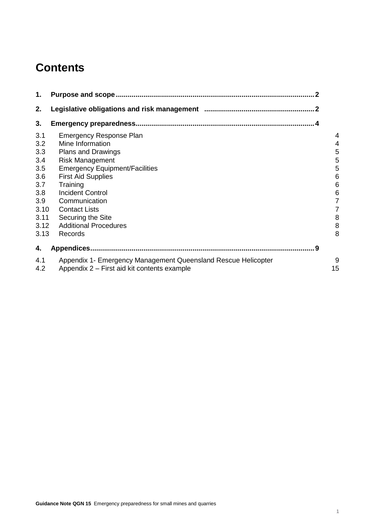# **Contents**

| 1.         |                                                                                                              |         |
|------------|--------------------------------------------------------------------------------------------------------------|---------|
| 2.         |                                                                                                              |         |
| 3.         |                                                                                                              |         |
| 3.1        | <b>Emergency Response Plan</b>                                                                               |         |
| 3.2        | Mine Information                                                                                             | 4       |
| 3.3        | <b>Plans and Drawings</b>                                                                                    | 5       |
| 3.4        | <b>Risk Management</b>                                                                                       | 5       |
| 3.5        | <b>Emergency Equipment/Facilities</b>                                                                        | 5       |
| 3.6        | <b>First Aid Supplies</b>                                                                                    | 6       |
| 3.7        | Training                                                                                                     | 6       |
| 3.8        | <b>Incident Control</b>                                                                                      | 6       |
| 3.9        | Communication                                                                                                | 7       |
| 3.10       | <b>Contact Lists</b>                                                                                         | 7       |
| 3.11       | Securing the Site                                                                                            | 8       |
| 3.12       | <b>Additional Procedures</b>                                                                                 | 8       |
| 3.13       | Records                                                                                                      | 8       |
| 4.         | - 9                                                                                                          |         |
| 4.1<br>4.2 | Appendix 1- Emergency Management Queensland Rescue Helicopter<br>Appendix 2 – First aid kit contents example | 9<br>15 |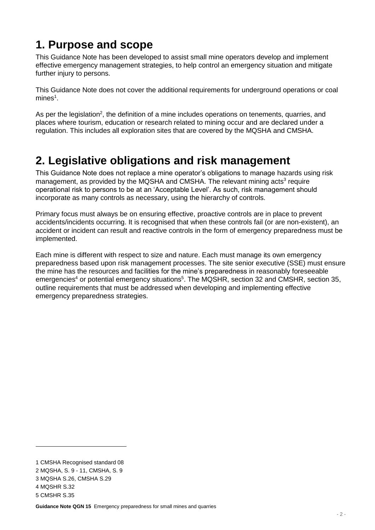# <span id="page-3-0"></span>**1. Purpose and scope**

This Guidance Note has been developed to assist small mine operators develop and implement effective emergency management strategies, to help control an emergency situation and mitigate further injury to persons.

This Guidance Note does not cover the additional requirements for underground operations or coal  $mines<sup>1</sup>$ .

As per the legislation<sup>2</sup>, the definition of a mine includes operations on tenements, quarries, and places where tourism, education or research related to mining occur and are declared under a regulation. This includes all exploration sites that are covered by the MQSHA and CMSHA.

# <span id="page-3-1"></span>**2. Legislative obligations and risk management**

This Guidance Note does not replace a mine operator's obligations to manage hazards using risk management, as provided by the MQSHA and CMSHA. The relevant mining acts<sup>3</sup> require operational risk to persons to be at an 'Acceptable Level'. As such, risk management should incorporate as many controls as necessary, using the hierarchy of controls.

Primary focus must always be on ensuring effective, proactive controls are in place to prevent accidents/incidents occurring. It is recognised that when these controls fail (or are non-existent), an accident or incident can result and reactive controls in the form of emergency preparedness must be implemented.

Each mine is different with respect to size and nature. Each must manage its own emergency preparedness based upon risk management processes. The site senior executive (SSE) must ensure the mine has the resources and facilities for the mine's preparedness in reasonably foreseeable emergencies<sup>4</sup> or potential emergency situations<sup>5</sup>. The MQSHR, section 32 and CMSHR, section 35, outline requirements that must be addressed when developing and implementing effective emergency preparedness strategies.

<sup>1</sup> CMSHA Recognised standard 08

<sup>2</sup> MQSHA, S. 9 - 11, CMSHA, S. 9

<sup>3</sup> MQSHA S.26, CMSHA S.29

<sup>4</sup> MQSHR S.32

<sup>5</sup> CMSHR S.35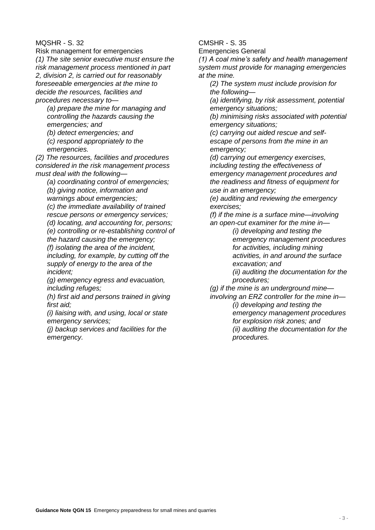#### MQSHR - S. 32

Risk management for emergencies *(1) The site senior executive must ensure the risk management process mentioned in part 2, division 2, is carried out for reasonably foreseeable emergencies at the mine to decide the resources, facilities and procedures necessary to—*

*(a) prepare the mine for managing and controlling the hazards causing the emergencies; and*

*(b) detect emergencies; and*

*(c) respond appropriately to the emergencies.*

*(2) The resources, facilities and procedures considered in the risk management process must deal with the following—*

*(a) coordinating control of emergencies; (b) giving notice, information and* 

*warnings about emergencies;*

*(c) the immediate availability of trained rescue persons or emergency services;*

*(d) locating, and accounting for, persons;*

*(e) controlling or re-establishing control of the hazard causing the emergency;*

*(f) isolating the area of the incident, including, for example, by cutting off the supply of energy to the area of the incident;*

*(g) emergency egress and evacuation, including refuges;*

*(h) first aid and persons trained in giving first aid;*

*(i) liaising with, and using, local or state emergency services;*

*(j) backup services and facilities for the emergency.*

CMSHR - S. 35

Emergencies General

*(1) A coal mine's safety and health management system must provide for managing emergencies at the mine.*

*(2) The system must include provision for the following—*

*(a) identifying, by risk assessment, potential emergency situations;*

*(b) minimising risks associated with potential emergency situations;*

*(c) carrying out aided rescue and selfescape of persons from the mine in an emergency;*

*(d) carrying out emergency exercises, including testing the effectiveness of emergency management procedures and the readiness and fitness of equipment for use in an emergency;*

*(e) auditing and reviewing the emergency exercises;*

*(f) if the mine is a surface mine—involving an open-cut examiner for the mine in—*

> *(i) developing and testing the emergency management procedures for activities, including mining activities, in and around the surface excavation; and*

*(ii) auditing the documentation for the procedures;*

*(g) if the mine is an underground mine—*

*involving an ERZ controller for the mine in— (i) developing and testing the emergency management procedures for explosion risk zones; and (ii) auditing the documentation for the procedures.*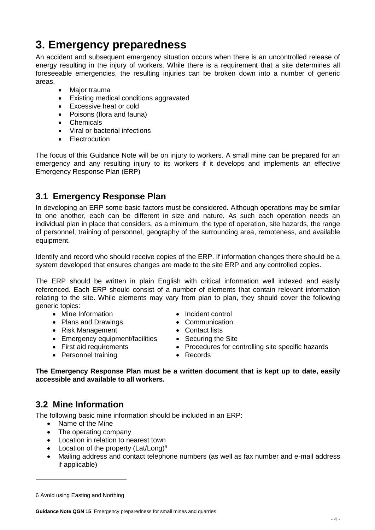# <span id="page-5-0"></span>**3. Emergency preparedness**

An accident and subsequent emergency situation occurs when there is an uncontrolled release of energy resulting in the injury of workers. While there is a requirement that a site determines all foreseeable emergencies, the resulting injuries can be broken down into a number of generic areas.

- Major trauma
- Existing medical conditions aggravated
- **Excessive heat or cold**
- Poisons (flora and fauna)
- **Chemicals**
- Viral or bacterial infections
- Electrocution

The focus of this Guidance Note will be on injury to workers. A small mine can be prepared for an emergency and any resulting injury to its workers if it develops and implements an effective Emergency Response Plan (ERP)

## <span id="page-5-1"></span>**3.1 Emergency Response Plan**

In developing an ERP some basic factors must be considered. Although operations may be similar to one another, each can be different in size and nature. As such each operation needs an individual plan in place that considers, as a minimum, the type of operation, site hazards, the range of personnel, training of personnel, geography of the surrounding area, remoteness, and available equipment.

Identify and record who should receive copies of the ERP. If information changes there should be a system developed that ensures changes are made to the site ERP and any controlled copies.

The ERP should be written in plain English with critical information well indexed and easily referenced. Each ERP should consist of a number of elements that contain relevant information relating to the site. While elements may vary from plan to plan, they should cover the following generic topics:

- Mine Information
- Plans and Drawings
- Risk Management
- Emergency equipment/facilities
- First aid requirements
- Personnel training
- Incident control
- Communication
- Contact lists
- Securing the Site
- Procedures for controlling site specific hazards
- Records

#### **The Emergency Response Plan must be a written document that is kept up to date, easily accessible and available to all workers.**

#### <span id="page-5-2"></span>**3.2 Mine Information**

The following basic mine information should be included in an ERP:

- Name of the Mine
- The operating company
- Location in relation to nearest town
- Location of the property (Lat/Long) $6$
- Mailing address and contact telephone numbers (as well as fax number and e-mail address if applicable)

<sup>6</sup> Avoid using Easting and Northing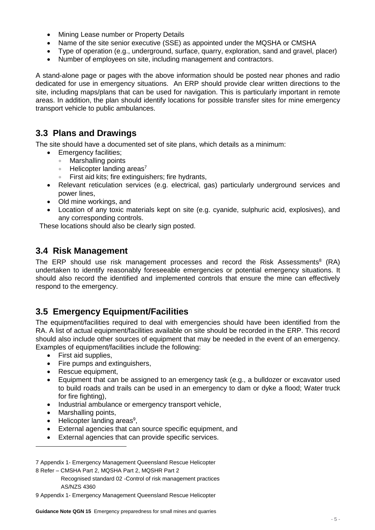- Mining Lease number or Property Details
- Name of the site senior executive (SSE) as appointed under the MQSHA or CMSHA
- Type of operation (e.g., underground, surface, quarry, exploration, sand and gravel, placer)
- Number of employees on site, including management and contractors.

A stand-alone page or pages with the above information should be posted near phones and radio dedicated for use in emergency situations. An ERP should provide clear written directions to the site, including maps/plans that can be used for navigation. This is particularly important in remote areas. In addition, the plan should identify locations for possible transfer sites for mine emergency transport vehicle to public ambulances.

#### <span id="page-6-0"></span>**3.3 Plans and Drawings**

The site should have a documented set of site plans, which details as a minimum:

- Emergency facilities;
	- Marshalling points
	- $\bullet$  Helicopter landing areas<sup>7</sup>
	- First aid kits; fire extinguishers; fire hydrants,
- Relevant reticulation services (e.g. electrical, gas) particularly underground services and power lines,
- Old mine workings, and
- Location of any toxic materials kept on site (e.g. cyanide, sulphuric acid, explosives), and any corresponding controls.

These locations should also be clearly sign posted.

#### <span id="page-6-1"></span>**3.4 Risk Management**

The ERP should use risk management processes and record the Risk Assessments $8$  (RA) undertaken to identify reasonably foreseeable emergencies or potential emergency situations. It should also record the identified and implemented controls that ensure the mine can effectively respond to the emergency.

## <span id="page-6-2"></span>**3.5 Emergency Equipment/Facilities**

The equipment/facilities required to deal with emergencies should have been identified from the RA. A list of actual equipment/facilities available on site should be recorded in the ERP. This record should also include other sources of equipment that may be needed in the event of an emergency. Examples of equipment/facilities include the following:

- First aid supplies.
- Fire pumps and extinguishers,
- Rescue equipment,
- Equipment that can be assigned to an emergency task (e.g., a bulldozer or excavator used to build roads and trails can be used in an emergency to dam or dyke a flood; Water truck for fire fighting).
- Industrial ambulance or emergency transport vehicle,
- Marshalling points,

- $\bullet$  Helicopter landing areas<sup>9</sup>,
- External agencies that can source specific equipment, and
- External agencies that can provide specific services.

<sup>7</sup> Appendix 1- Emergency Management Queensland Rescue Helicopter 8 Refer – CMSHA Part 2, MQSHA Part 2, MQSHR Part 2

Recognised standard 02 -Control of risk management practices AS/NZS 4360

<sup>9</sup> Appendix 1- Emergency Management Queensland Rescue Helicopter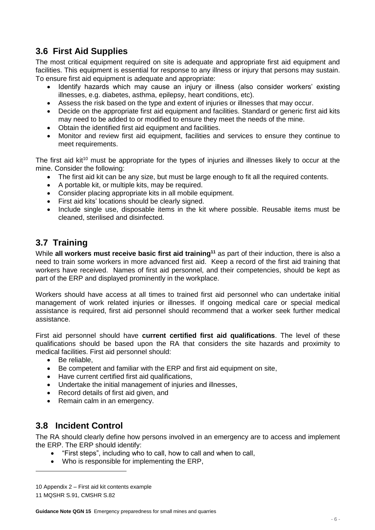## <span id="page-7-0"></span>**3.6 First Aid Supplies**

The most critical equipment required on site is adequate and appropriate first aid equipment and facilities. This equipment is essential for response to any illness or injury that persons may sustain. To ensure first aid equipment is adequate and appropriate:

- Identify hazards which may cause an injury or illness (also consider workers' existing illnesses, e.g. diabetes, asthma, epilepsy, heart conditions, etc).
- Assess the risk based on the type and extent of injuries or illnesses that may occur.
- Decide on the appropriate first aid equipment and facilities. Standard or generic first aid kits may need to be added to or modified to ensure they meet the needs of the mine.
- Obtain the identified first aid equipment and facilities.
- Monitor and review first aid equipment, facilities and services to ensure they continue to meet requirements.

The first aid kit<sup>10</sup> must be appropriate for the types of injuries and illnesses likely to occur at the mine. Consider the following:

- The first aid kit can be any size, but must be large enough to fit all the required contents.
- A portable kit, or multiple kits, may be required.
- Consider placing appropriate kits in all mobile equipment.
- First aid kits' locations should be clearly signed.
- Include single use, disposable items in the kit where possible. Reusable items must be cleaned, sterilised and disinfected.

## <span id="page-7-1"></span>**3.7 Training**

While **all workers must receive basic first aid training<sup>11</sup>** as part of their induction, there is also a need to train some workers in more advanced first aid. Keep a record of the first aid training that workers have received. Names of first aid personnel, and their competencies, should be kept as part of the ERP and displayed prominently in the workplace.

Workers should have access at all times to trained first aid personnel who can undertake initial management of work related injuries or illnesses. If ongoing medical care or special medical assistance is required, first aid personnel should recommend that a worker seek further medical assistance.

First aid personnel should have **current certified first aid qualifications**. The level of these qualifications should be based upon the RA that considers the site hazards and proximity to medical facilities. First aid personnel should:

- Be reliable.
- Be competent and familiar with the ERP and first aid equipment on site,
- Have current certified first aid qualifications,
- Undertake the initial management of injuries and illnesses,
- Record details of first aid given, and
- <span id="page-7-2"></span>• Remain calm in an emergency.

## **3.8 Incident Control**

The RA should clearly define how persons involved in an emergency are to access and implement the ERP. The ERP should identify:

- "First steps", including who to call, how to call and when to call,
- Who is responsible for implementing the ERP,

<sup>10</sup> Appendix 2 – First aid kit contents example

<sup>11</sup> MQSHR S.91, CMSHR S.82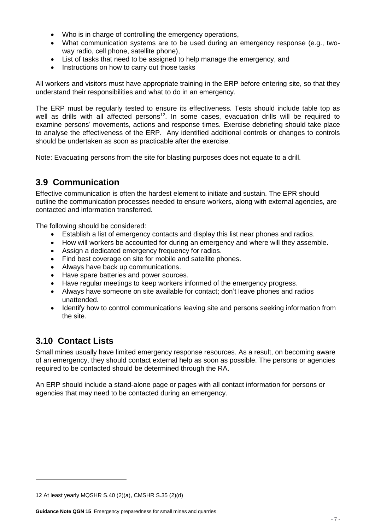- Who is in charge of controlling the emergency operations,
- What communication systems are to be used during an emergency response (e.g., twoway radio, cell phone, satellite phone),
- List of tasks that need to be assigned to help manage the emergency, and
- Instructions on how to carry out those tasks

All workers and visitors must have appropriate training in the ERP before entering site, so that they understand their responsibilities and what to do in an emergency.

The ERP must be regularly tested to ensure its effectiveness. Tests should include table top as well as drills with all affected persons<sup>12</sup>. In some cases, evacuation drills will be required to examine persons' movements, actions and response times. Exercise debriefing should take place to analyse the effectiveness of the ERP. Any identified additional controls or changes to controls should be undertaken as soon as practicable after the exercise.

Note: Evacuating persons from the site for blasting purposes does not equate to a drill.

## <span id="page-8-0"></span>**3.9 Communication**

Effective communication is often the hardest element to initiate and sustain. The EPR should outline the communication processes needed to ensure workers, along with external agencies, are contacted and information transferred.

The following should be considered:

- Establish a list of emergency contacts and display this list near phones and radios.
- How will workers be accounted for during an emergency and where will they assemble.
- Assign a dedicated emergency frequency for radios.
- Find best coverage on site for mobile and satellite phones.
- Always have back up communications.
- Have spare batteries and power sources.
- Have regular meetings to keep workers informed of the emergency progress.
- Always have someone on site available for contact; don't leave phones and radios unattended.
- Identify how to control communications leaving site and persons seeking information from the site.

## <span id="page-8-1"></span>**3.10 Contact Lists**

-

Small mines usually have limited emergency response resources. As a result, on becoming aware of an emergency, they should contact external help as soon as possible. The persons or agencies required to be contacted should be determined through the RA.

An ERP should include a stand-alone page or pages with all contact information for persons or agencies that may need to be contacted during an emergency.

<sup>12</sup> At least yearly MQSHR S.40 (2)(a), CMSHR S.35 (2)(d)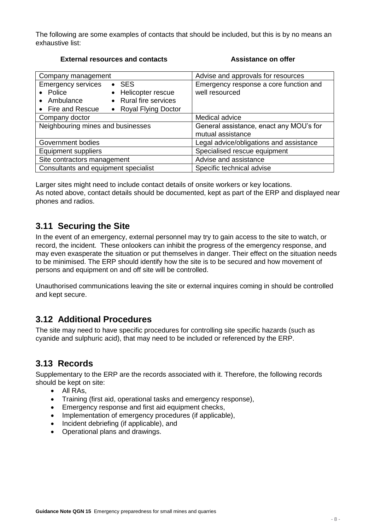The following are some examples of contacts that should be included, but this is by no means an exhaustive list:

#### **External resources and contacts Assistance on offer**

| Company management                   |                       | Advise and approvals for resources      |
|--------------------------------------|-----------------------|-----------------------------------------|
| <b>Emergency services</b>            | $\bullet$ SES         | Emergency response a core function and  |
| • Police                             | • Helicopter rescue   | well resourced                          |
| Ambulance<br>$\bullet$               | • Rural fire services |                                         |
| • Fire and Rescue                    | • Royal Flying Doctor |                                         |
| Company doctor                       |                       | Medical advice                          |
| Neighbouring mines and businesses    |                       | General assistance, enact any MOU's for |
|                                      |                       | mutual assistance                       |
| Government bodies                    |                       | Legal advice/obligations and assistance |
| <b>Equipment suppliers</b>           |                       | Specialised rescue equipment            |
| Site contractors management          |                       | Advise and assistance                   |
| Consultants and equipment specialist |                       | Specific technical advise               |

Larger sites might need to include contact details of onsite workers or key locations. As noted above, contact details should be documented, kept as part of the ERP and displayed near phones and radios.

#### <span id="page-9-0"></span>**3.11 Securing the Site**

In the event of an emergency, external personnel may try to gain access to the site to watch, or record, the incident. These onlookers can inhibit the progress of the emergency response, and may even exasperate the situation or put themselves in danger. Their effect on the situation needs to be minimised. The ERP should identify how the site is to be secured and how movement of persons and equipment on and off site will be controlled.

Unauthorised communications leaving the site or external inquires coming in should be controlled and kept secure.

#### <span id="page-9-1"></span>**3.12 Additional Procedures**

The site may need to have specific procedures for controlling site specific hazards (such as cyanide and sulphuric acid), that may need to be included or referenced by the ERP.

#### <span id="page-9-2"></span>**3.13 Records**

Supplementary to the ERP are the records associated with it. Therefore, the following records should be kept on site:

- All RAs.
- Training (first aid, operational tasks and emergency response),
- Emergency response and first aid equipment checks,
- Implementation of emergency procedures (if applicable),
- Incident debriefing (if applicable), and
- Operational plans and drawings.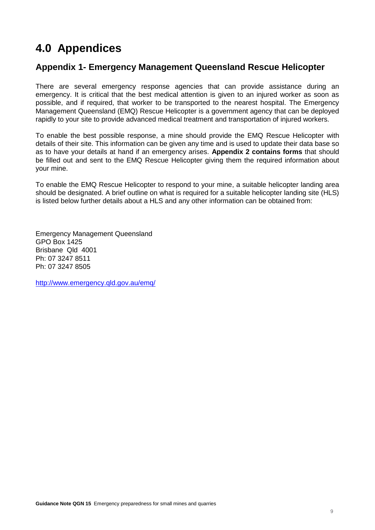# <span id="page-10-0"></span>**4.0 Appendices**

#### <span id="page-10-1"></span>**Appendix 1- Emergency Management Queensland Rescue Helicopter**

There are several emergency response agencies that can provide assistance during an emergency. It is critical that the best medical attention is given to an injured worker as soon as possible, and if required, that worker to be transported to the nearest hospital. The Emergency Management Queensland (EMQ) Rescue Helicopter is a government agency that can be deployed rapidly to your site to provide advanced medical treatment and transportation of injured workers.

To enable the best possible response, a mine should provide the EMQ Rescue Helicopter with details of their site. This information can be given any time and is used to update their data base so as to have your details at hand if an emergency arises. **Appendix 2 contains forms** that should be filled out and sent to the EMQ Rescue Helicopter giving them the required information about your mine.

To enable the EMQ Rescue Helicopter to respond to your mine, a suitable helicopter landing area should be designated. A brief outline on what is required for a suitable helicopter landing site (HLS) is listed below further details about a HLS and any other information can be obtained from:

Emergency Management Queensland GPO Box 1425 Brisbane Qld 4001 Ph: 07 3247 8511 Ph: 07 3247 8505

<http://www.emergency.qld.gov.au/emq/>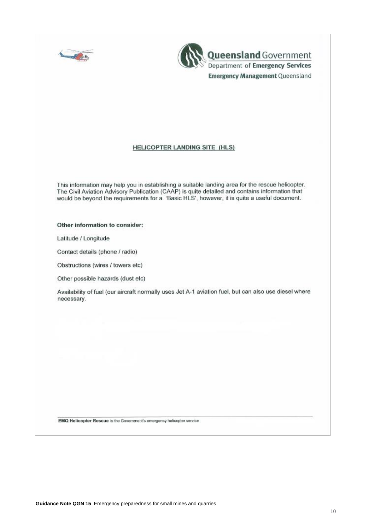



#### **HELICOPTER LANDING SITE (HLS)**

This information may help you in establishing a suitable landing area for the rescue helicopter. The Civil Aviation Advisory Publication (CAAP) is quite detailed and contains information that would be beyond the requirements for a 'Basic HLS', however, it is quite a useful document.

Other information to consider:

Latitude / Longitude

Contact details (phone / radio)

Obstructions (wires / towers etc)

Other possible hazards (dust etc)

Availability of fuel (our aircraft normally uses Jet A-1 aviation fuel, but can also use diesel where necessary.

EMQ Helicopter Rescue is the Government's emergency helicopter service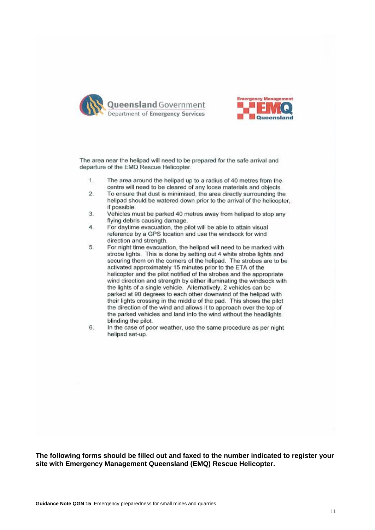



The area near the helipad will need to be prepared for the safe arrival and departure of the EMQ Rescue Helicopter.

- The area around the helipad up to a radius of 40 metres from the  $1.$ centre will need to be cleared of any loose materials and objects.
- $\overline{2}$ . To ensure that dust is minimised, the area directly surrounding the helipad should be watered down prior to the arrival of the helicopter, if possible.
- 3. Vehicles must be parked 40 metres away from helipad to stop any flying debris causing damage.
- $4.$ For daytime evacuation, the pilot will be able to attain visual reference by a GPS location and use the windsock for wind direction and strength.
- 5. For night time evacuation, the helipad will need to be marked with strobe lights. This is done by setting out 4 white strobe lights and securing them on the corners of the helipad. The strobes are to be activated approximately 15 minutes prior to the ETA of the helicopter and the pilot notified of the strobes and the appropriate wind direction and strength by either illuminating the windsock with the lights of a single vehicle. Alternatively, 2 vehicles can be parked at 90 degrees to each other downwind of the helipad with their lights crossing in the middle of the pad. This shows the pilot the direction of the wind and allows it to approach over the top of the parked vehicles and land into the wind without the headlights blinding the pilot.
- 6. In the case of poor weather, use the same procedure as per night helipad set-up.

**The following forms should be filled out and faxed to the number indicated to register your site with Emergency Management Queensland (EMQ) Rescue Helicopter.**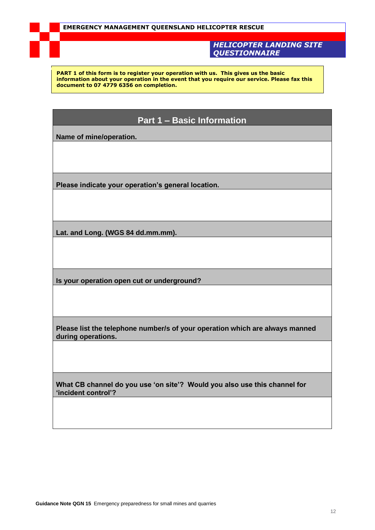*HELICOPTER LANDING SITE QUESTIONNAIRE*

**PART 1 of this form is to register your operation with us. This gives us the basic information about your operation in the event that you require our service. Please fax this document to 07 4779 6356 on completion.**

#### **Part 1 – Basic Information**

**Name of mine/operation.**

**Please indicate your operation's general location.**

**Lat. and Long. (WGS 84 dd.mm.mm).**

**Is your operation open cut or underground?**

**Please list the telephone number/s of your operation which are always manned during operations.**

**What CB channel do you use 'on site'? Would you also use this channel for 'incident control'?**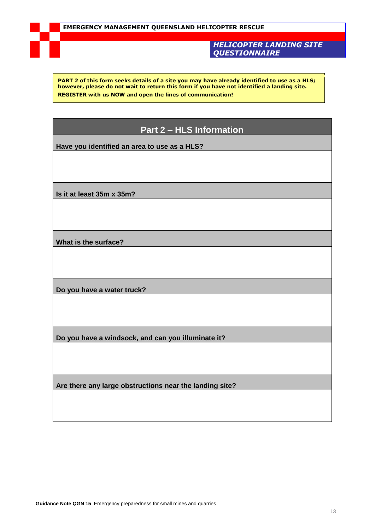#### *HELICOPTER LANDING SITE QUESTIONNAIRE*

**PART 2 of this form seeks details of a site you may have already identified to use as a HLS; however, please do not wait to return this form if you have not identified a landing site. REGISTER with us NOW and open the lines of communication!**

#### **Part 2 – HLS Information**

**Have you identified an area to use as a HLS?**

**Is it at least 35m x 35m?**

**What is the surface?**

**Do you have a water truck?**

**Do you have a windsock, and can you illuminate it?**

**Are there any large obstructions near the landing site?**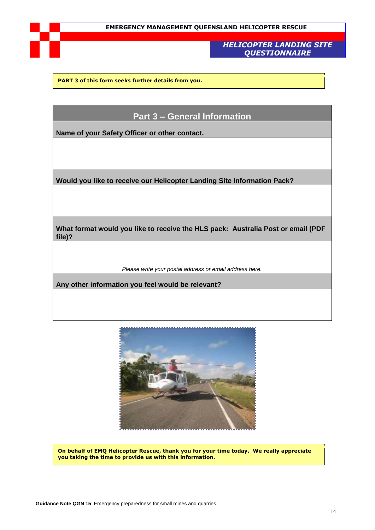#### *HELICOPTER LANDING SITE QUESTIONNAIRE*

**PART 3 of this form seeks further details from you.**

#### **Part 3 – General Information**

**Name of your Safety Officer or other contact.**

**Would you like to receive our Helicopter Landing Site Information Pack?**

**What format would you like to receive the HLS pack: Australia Post or email (PDF file)?**

*Please write your postal address or email address here.*

**Any other information you feel would be relevant?**



**On behalf of EMQ Helicopter Rescue, thank you for your time today. We really appreciate you taking the time to provide us with this information.**